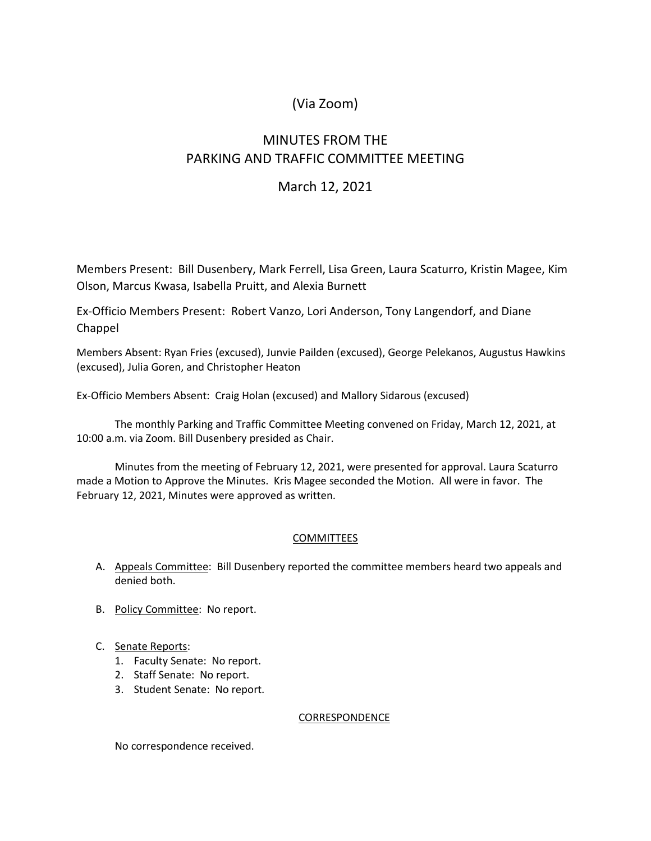# (Via Zoom)

# MINUTES FROM THE PARKING AND TRAFFIC COMMITTEE MEETING

### March 12, 2021

Members Present: Bill Dusenbery, Mark Ferrell, Lisa Green, Laura Scaturro, Kristin Magee, Kim Olson, Marcus Kwasa, Isabella Pruitt, and Alexia Burnett

Ex-Officio Members Present: Robert Vanzo, Lori Anderson, Tony Langendorf, and Diane Chappel

Members Absent: Ryan Fries (excused), Junvie Pailden (excused), George Pelekanos, Augustus Hawkins (excused), Julia Goren, and Christopher Heaton

Ex-Officio Members Absent: Craig Holan (excused) and Mallory Sidarous (excused)

The monthly Parking and Traffic Committee Meeting convened on Friday, March 12, 2021, at 10:00 a.m. via Zoom. Bill Dusenbery presided as Chair.

Minutes from the meeting of February 12, 2021, were presented for approval. Laura Scaturro made a Motion to Approve the Minutes. Kris Magee seconded the Motion. All were in favor. The February 12, 2021, Minutes were approved as written.

### COMMITTEES

- A. Appeals Committee: Bill Dusenbery reported the committee members heard two appeals and denied both.
- B. Policy Committee: No report.
- C. Senate Reports:
	- 1. Faculty Senate: No report.
	- 2. Staff Senate: No report.
	- 3. Student Senate: No report.

#### CORRESPONDENCE

No correspondence received.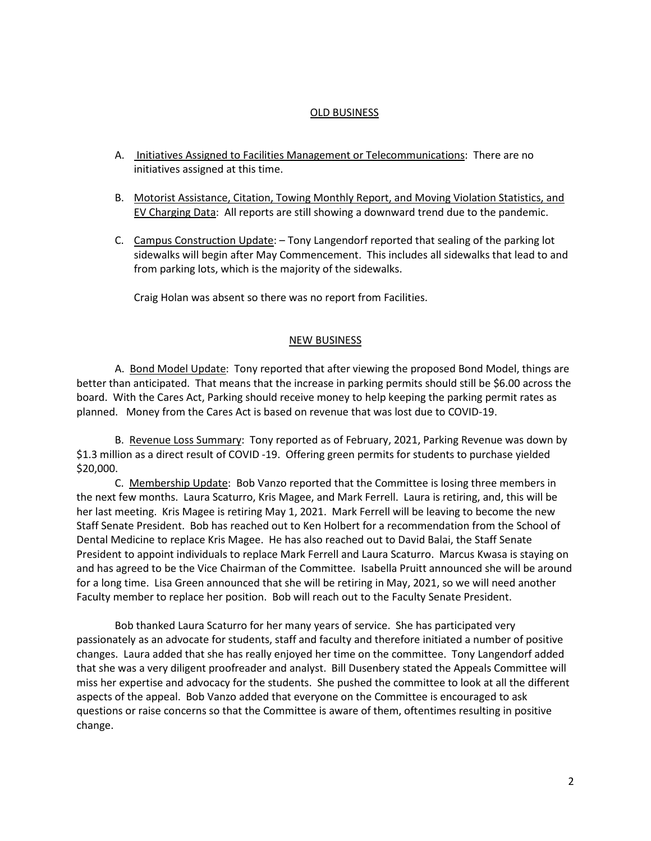#### OLD BUSINESS

- A. Initiatives Assigned to Facilities Management or Telecommunications: There are no initiatives assigned at this time.
- B. Motorist Assistance, Citation, Towing Monthly Report, and Moving Violation Statistics, and EV Charging Data: All reports are still showing a downward trend due to the pandemic.
- C. Campus Construction Update: Tony Langendorf reported that sealing of the parking lot sidewalks will begin after May Commencement. This includes all sidewalks that lead to and from parking lots, which is the majority of the sidewalks.

Craig Holan was absent so there was no report from Facilities.

#### NEW BUSINESS

A. Bond Model Update: Tony reported that after viewing the proposed Bond Model, things are better than anticipated. That means that the increase in parking permits should still be \$6.00 across the board. With the Cares Act, Parking should receive money to help keeping the parking permit rates as planned. Money from the Cares Act is based on revenue that was lost due to COVID-19.

B. Revenue Loss Summary: Tony reported as of February, 2021, Parking Revenue was down by \$1.3 million as a direct result of COVID -19. Offering green permits for students to purchase yielded \$20,000.

C. Membership Update: Bob Vanzo reported that the Committee is losing three members in the next few months. Laura Scaturro, Kris Magee, and Mark Ferrell. Laura is retiring, and, this will be her last meeting. Kris Magee is retiring May 1, 2021. Mark Ferrell will be leaving to become the new Staff Senate President. Bob has reached out to Ken Holbert for a recommendation from the School of Dental Medicine to replace Kris Magee. He has also reached out to David Balai, the Staff Senate President to appoint individuals to replace Mark Ferrell and Laura Scaturro. Marcus Kwasa is staying on and has agreed to be the Vice Chairman of the Committee. Isabella Pruitt announced she will be around for a long time. Lisa Green announced that she will be retiring in May, 2021, so we will need another Faculty member to replace her position. Bob will reach out to the Faculty Senate President.

Bob thanked Laura Scaturro for her many years of service. She has participated very passionately as an advocate for students, staff and faculty and therefore initiated a number of positive changes. Laura added that she has really enjoyed her time on the committee. Tony Langendorf added that she was a very diligent proofreader and analyst. Bill Dusenbery stated the Appeals Committee will miss her expertise and advocacy for the students. She pushed the committee to look at all the different aspects of the appeal. Bob Vanzo added that everyone on the Committee is encouraged to ask questions or raise concerns so that the Committee is aware of them, oftentimes resulting in positive change.